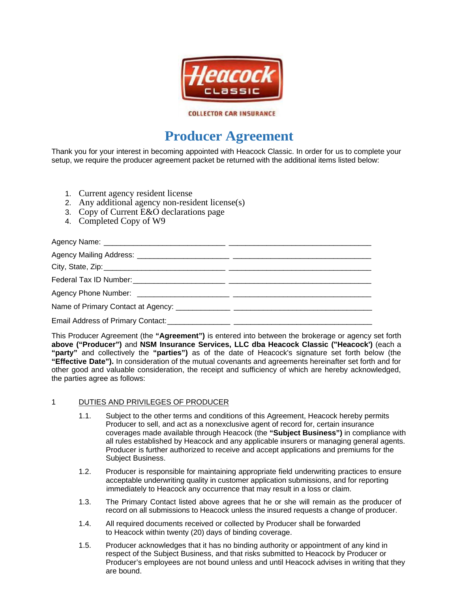

### **COLLECTOR CAR INSURANCE**

# **Producer Agreement**

Thank you for your interest in becoming appointed with Heacock Classic. In order for us to complete your setup, we require the producer agreement packet be returned with the additional items listed below:

- 1. Current agency resident license
- 2. Any additional agency non-resident license(s)
- 3. Copy of Current E&O declarations page
- 4. Completed Copy of W9

This Producer Agreement (the "Agreement") is entered into between the brokerage or agency set forth above ("Producer") and NSM Insurance Services, LLC dba Heacock Classic ("Heacock') (each a "party" and collectively the "parties") as of the date of Heacock's signature set forth below (the "Effective Date"). In consideration of the mutual covenants and agreements hereinafter set forth and for other good and valuable consideration, the receipt and sufficiency of which are hereby acknowledged, the parties agree as follows:

#### $\mathbf 1$ DUTIES AND PRIVILEGES OF PRODUCER

- $1.1.$ Subject to the other terms and conditions of this Agreement, Heacock hereby permits Producer to sell, and act as a nonexclusive agent of record for, certain insurance coverages made available through Heacock (the "Subject Business") in compliance with all rules established by Heacock and any applicable insurers or managing general agents. Producer is further authorized to receive and accept applications and premiums for the Subject Business.
- $1.2.$ Producer is responsible for maintaining appropriate field underwriting practices to ensure acceptable underwriting quality in customer application submissions, and for reporting immediately to Heacock any occurrence that may result in a loss or claim.
- $1.3.$ The Primary Contact listed above agrees that he or she will remain as the producer of record on all submissions to Heacock unless the insured requests a change of producer.
- $1.4.$ All required documents received or collected by Producer shall be forwarded to Heacock within twenty (20) days of binding coverage.
- $1.5.$ Producer acknowledges that it has no binding authority or appointment of any kind in respect of the Subject Business, and that risks submitted to Heacock by Producer or Producer's employees are not bound unless and until Heacock advises in writing that they are bound.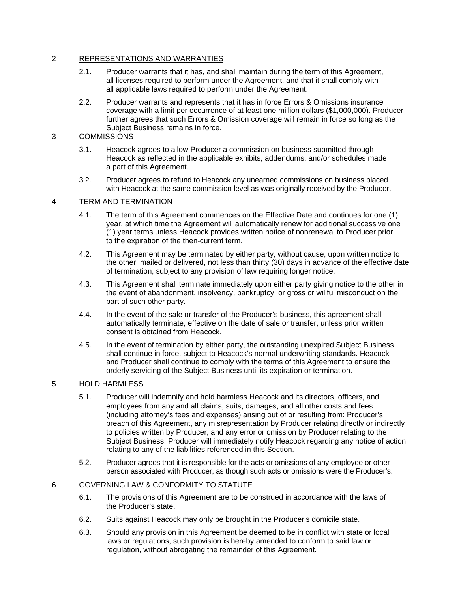#### $\mathcal{P}$ REPRESENTATIONS AND WARRANTIES

- Producer warrants that it has, and shall maintain during the term of this Agreement,  $21$ all licenses required to perform under the Agreement, and that it shall comply with all applicable laws required to perform under the Agreement.
- $2.2.$ Producer warrants and represents that it has in force Errors & Omissions insurance coverage with a limit per occurrence of at least one million dollars (\$1,000,000). Producer further agrees that such Errors & Omission coverage will remain in force so long as the Subject Business remains in force.

#### **COMMISSIONS** 3

- $31$ Heacock agrees to allow Producer a commission on business submitted through Heacock as reflected in the applicable exhibits, addendums, and/or schedules made a part of this Agreement.
- $3.2.$ Producer agrees to refund to Heacock any unearned commissions on business placed with Heacock at the same commission level as was originally received by the Producer.

#### 4 TERM AND TERMINATION

- $4.1.$ The term of this Agreement commences on the Effective Date and continues for one (1) year, at which time the Agreement will automatically renew for additional successive one (1) year terms unless Heacock provides written notice of nonrenewal to Producer prior to the expiration of the then-current term.
- $4.2.$ This Agreement may be terminated by either party, without cause, upon written notice to the other, mailed or delivered, not less than thirty (30) days in advance of the effective date of termination, subject to any provision of law requiring longer notice.
- $4.3.$ This Agreement shall terminate immediately upon either party giving notice to the other in the event of abandonment, insolvency, bankruptcy, or gross or willful misconduct on the part of such other party.
- In the event of the sale or transfer of the Producer's business, this agreement shall 44 automatically terminate, effective on the date of sale or transfer, unless prior written consent is obtained from Heacock.
- $4.5.$ In the event of termination by either party, the outstanding unexpired Subject Business shall continue in force, subject to Heacock's normal underwriting standards. Heacock and Producer shall continue to comply with the terms of this Agreement to ensure the orderly servicing of the Subject Business until its expiration or termination.

#### 5 **HOLD HARMLESS**

- $5.1.$ Producer will indemnify and hold harmless Heacock and its directors, officers, and employees from any and all claims, suits, damages, and all other costs and fees (including attorney's fees and expenses) arising out of or resulting from: Producer's breach of this Agreement, any misrepresentation by Producer relating directly or indirectly to policies written by Producer, and any error or omission by Producer relating to the Subject Business. Producer will immediately notify Heacock regarding any notice of action relating to any of the liabilities referenced in this Section.
- $5.2.$ Producer agrees that it is responsible for the acts or omissions of any employee or other person associated with Producer, as though such acts or omissions were the Producer's.

#### 6 GOVERNING LAW & CONFORMITY TO STATUTE

- $6.1.$ The provisions of this Agreement are to be construed in accordance with the laws of the Producer's state.
- $6.2.$ Suits against Heacock may only be brought in the Producer's domicile state.
- $6.3.$ Should any provision in this Agreement be deemed to be in conflict with state or local laws or regulations, such provision is hereby amended to conform to said law or regulation, without abrogating the remainder of this Agreement.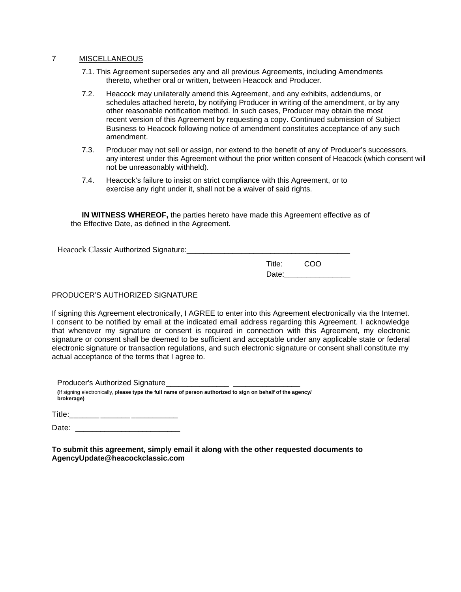#### $\overline{7}$ **MISCELLANEOUS**

- 7.1. This Agreement supersedes any and all previous Agreements, including Amendments thereto, whether oral or written, between Heacock and Producer.
- $7.2.$ Heacock may unilaterally amend this Agreement, and any exhibits, addendums, or schedules attached hereto, by notifying Producer in writing of the amendment, or by any other reasonable notification method. In such cases, Producer may obtain the most recent version of this Agreement by requesting a copy. Continued submission of Subject Business to Heacock following notice of amendment constitutes acceptance of any such amendment.
- $7.3.$ Producer may not sell or assign, nor extend to the benefit of any of Producer's successors, any interest under this Agreement without the prior written consent of Heacock (which consent will not be unreasonably withheld).
- Heacock's failure to insist on strict compliance with this Agreement, or to  $7.4.$ exercise any right under it, shall not be a waiver of said rights.

IN WITNESS WHEREOF, the parties hereto have made this Agreement effective as of the Effective Date, as defined in the Agreement.

Heacock Classic Authorized Signature:

COO Title: Date:

## PRODUCER'S AUTHORIZED SIGNATURE

If signing this Agreement electronically, I AGREE to enter into this Agreement electronically via the Internet. I consent to be notified by email at the indicated email address regarding this Agreement. I acknowledge that whenever my signature or consent is required in connection with this Agreement, my electronic signature or consent shall be deemed to be sufficient and acceptable under any applicable state or federal electronic signature or transaction regulations, and such electronic signature or consent shall constitute my actual acceptance of the terms that I agree to.

**Producer's Authorized Signature** (If signing electronically, please type the full name of person authorized to sign on behalf of the agency/ brokerage)

To submit this agreement, simply email it along with the other requested documents to AgencyUpdate@heacockclassic.com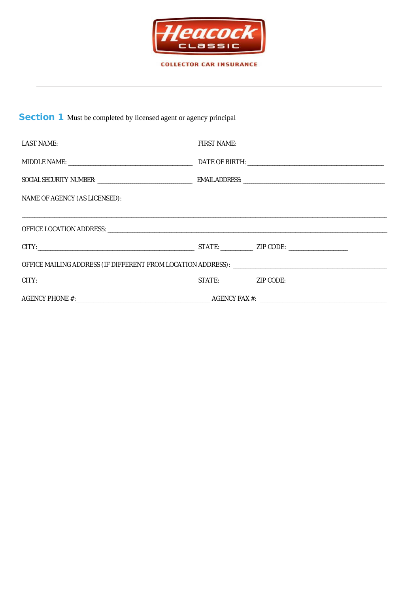

**COLLECTOR CAR INSURANCE** 

## **Section 1** Must be completed by licensed agent or agency principal

| <b>NAME OF AGENCY (AS LICENSED):</b> |  |  |
|--------------------------------------|--|--|
|                                      |  |  |
|                                      |  |  |
|                                      |  |  |
|                                      |  |  |
|                                      |  |  |